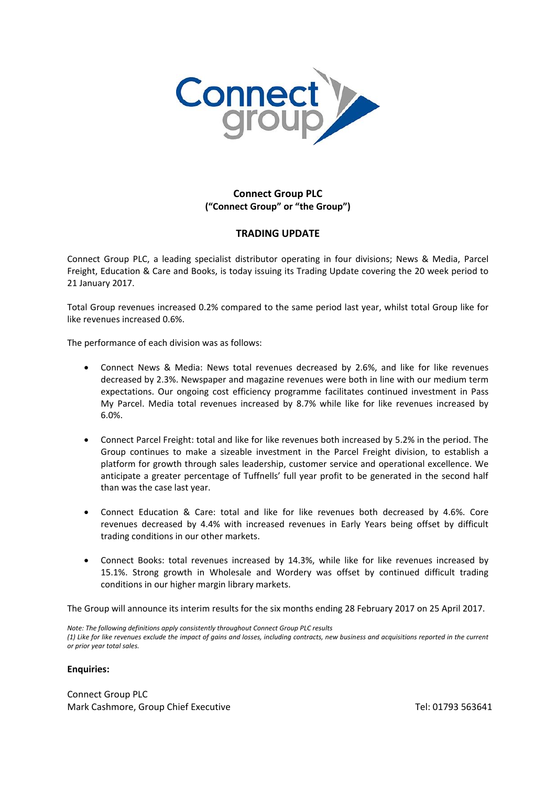

## **Connect Group PLC ("Connect Group" or "the Group")**

## **TRADING UPDATE**

Connect Group PLC, a leading specialist distributor operating in four divisions; News & Media, Parcel Freight, Education & Care and Books, is today issuing its Trading Update covering the 20 week period to 21 January 2017.

Total Group revenues increased 0.2% compared to the same period last year, whilst total Group like for like revenues increased 0.6%.

The performance of each division was as follows:

- Connect News & Media: News total revenues decreased by 2.6%, and like for like revenues decreased by 2.3%. Newspaper and magazine revenues were both in line with our medium term expectations. Our ongoing cost efficiency programme facilitates continued investment in Pass My Parcel. Media total revenues increased by 8.7% while like for like revenues increased by 6.0%.
- Connect Parcel Freight: total and like for like revenues both increased by 5.2% in the period. The Group continues to make a sizeable investment in the Parcel Freight division, to establish a platform for growth through sales leadership, customer service and operational excellence. We anticipate a greater percentage of Tuffnells' full year profit to be generated in the second half than was the case last year.
- Connect Education & Care: total and like for like revenues both decreased by 4.6%. Core revenues decreased by 4.4% with increased revenues in Early Years being offset by difficult trading conditions in our other markets.
- Connect Books: total revenues increased by 14.3%, while like for like revenues increased by 15.1%. Strong growth in Wholesale and Wordery was offset by continued difficult trading conditions in our higher margin library markets.

The Group will announce its interim results for the six months ending 28 February 2017 on 25 April 2017.

*Note: The following definitions apply consistently throughout Connect Group PLC results (1) Like for like revenues exclude the impact of gains and losses, including contracts, new business and acquisitions reported in the current or prior year total sales.*

## **Enquiries:**

Connect Group PLC Mark Cashmore, Group Chief Executive Tel: 01793 563641